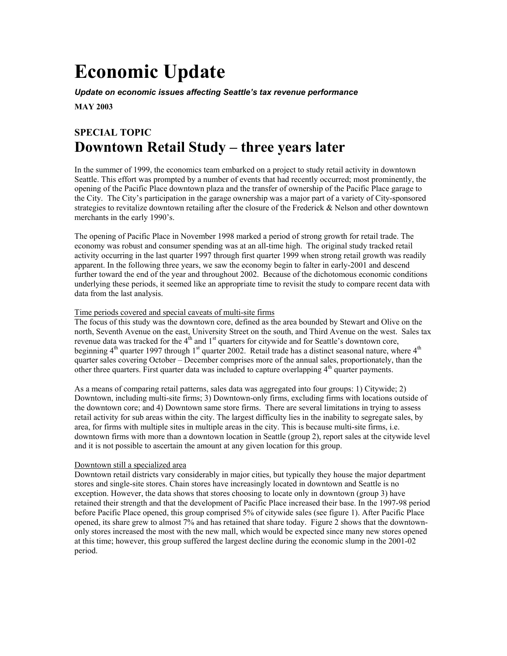# **Economic Update**

*Update on economic issues affecting Seattle's tax revenue performance*

**MAY 2003** 

# **SPECIAL TOPIC Downtown Retail Study – three years later**

In the summer of 1999, the economics team embarked on a project to study retail activity in downtown Seattle. This effort was prompted by a number of events that had recently occurred; most prominently, the opening of the Pacific Place downtown plaza and the transfer of ownership of the Pacific Place garage to the City. The City's participation in the garage ownership was a major part of a variety of City-sponsored strategies to revitalize downtown retailing after the closure of the Frederick & Nelson and other downtown merchants in the early 1990's.

The opening of Pacific Place in November 1998 marked a period of strong growth for retail trade. The economy was robust and consumer spending was at an all-time high. The original study tracked retail activity occurring in the last quarter 1997 through first quarter 1999 when strong retail growth was readily apparent. In the following three years, we saw the economy begin to falter in early-2001 and descend further toward the end of the year and throughout 2002. Because of the dichotomous economic conditions underlying these periods, it seemed like an appropriate time to revisit the study to compare recent data with data from the last analysis.

### Time periods covered and special caveats of multi-site firms

The focus of this study was the downtown core, defined as the area bounded by Stewart and Olive on the north, Seventh Avenue on the east, University Street on the south, and Third Avenue on the west. Sales tax revenue data was tracked for the 4<sup>th</sup> and 1<sup>st</sup> quarters for citywide and for Seattle's downtown core, beginning  $4<sup>th</sup>$  quarter 1997 through 1<sup>st</sup> quarter 2002. Retail trade has a distinct seasonal nature, where  $4<sup>th</sup>$ quarter sales covering October – December comprises more of the annual sales, proportionately, than the other three quarters. First quarter data was included to capture overlapping  $4<sup>th</sup>$  quarter payments.

As a means of comparing retail patterns, sales data was aggregated into four groups: 1) Citywide; 2) Downtown, including multi-site firms; 3) Downtown-only firms, excluding firms with locations outside of the downtown core; and 4) Downtown same store firms. There are several limitations in trying to assess retail activity for sub areas within the city. The largest difficulty lies in the inability to segregate sales, by area, for firms with multiple sites in multiple areas in the city. This is because multi-site firms, i.e. downtown firms with more than a downtown location in Seattle (group 2), report sales at the citywide level and it is not possible to ascertain the amount at any given location for this group.

### Downtown still a specialized area

Downtown retail districts vary considerably in major cities, but typically they house the major department stores and single-site stores. Chain stores have increasingly located in downtown and Seattle is no exception. However, the data shows that stores choosing to locate only in downtown (group 3) have retained their strength and that the development of Pacific Place increased their base. In the 1997-98 period before Pacific Place opened, this group comprised 5% of citywide sales (see figure 1). After Pacific Place opened, its share grew to almost 7% and has retained that share today. Figure 2 shows that the downtownonly stores increased the most with the new mall, which would be expected since many new stores opened at this time; however, this group suffered the largest decline during the economic slump in the 2001-02 period.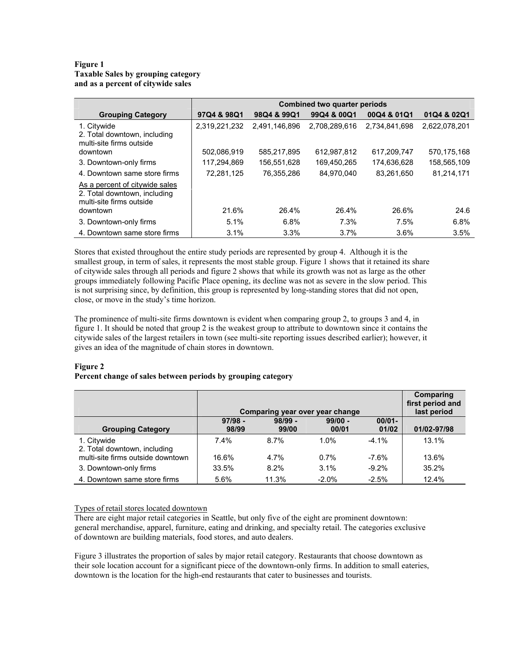# **Figure 1 Taxable Sales by grouping category and as a percent of citywide sales**

|                                                                                            | <b>Combined two quarter periods</b> |               |               |               |               |  |  |
|--------------------------------------------------------------------------------------------|-------------------------------------|---------------|---------------|---------------|---------------|--|--|
| <b>Grouping Category</b>                                                                   | 97Q4 & 98Q1                         | 98Q4 & 99Q1   | 99Q4 & 00Q1   | 00Q4 & 01Q1   | 01Q4 & 02Q1   |  |  |
| 1. Citywide<br>2. Total downtown, including<br>multi-site firms outside                    | 2,319,221,232                       | 2,491,146,896 | 2,708,289,616 | 2,734,841,698 | 2,622,078,201 |  |  |
| downtown                                                                                   | 502,086,919                         | 585.217.895   | 612,987,812   | 617,209,747   | 570,175,168   |  |  |
| 3. Downtown-only firms                                                                     | 117.294.869                         | 156.551.628   | 169.450.265   | 174.636.628   | 158,565,109   |  |  |
| 4. Downtown same store firms                                                               | 72.281.125                          | 76.355.286    | 84.970.040    | 83.261.650    | 81.214.171    |  |  |
| As a percent of citywide sales<br>2. Total downtown, including<br>multi-site firms outside |                                     |               |               |               |               |  |  |
| downtown                                                                                   | 21.6%                               | 26.4%         | 26.4%         | 26.6%         | 24.6          |  |  |
| 3. Downtown-only firms                                                                     | 5.1%                                | 6.8%          | 7.3%          | 7.5%          | 6.8%          |  |  |
| 4. Downtown same store firms                                                               | 3.1%                                | 3.3%          | 3.7%          | 3.6%          | 3.5%          |  |  |

Stores that existed throughout the entire study periods are represented by group 4. Although it is the smallest group, in term of sales, it represents the most stable group. Figure 1 shows that it retained its share of citywide sales through all periods and figure 2 shows that while its growth was not as large as the other groups immediately following Pacific Place opening, its decline was not as severe in the slow period. This is not surprising since, by definition, this group is represented by long-standing stores that did not open, close, or move in the study's time horizon.

The prominence of multi-site firms downtown is evident when comparing group 2, to groups 3 and 4, in figure 1. It should be noted that group 2 is the weakest group to attribute to downtown since it contains the citywide sales of the largest retailers in town (see multi-site reporting issues described earlier); however, it gives an idea of the magnitude of chain stores in downtown.

# **Figure 2**

# **Percent change of sales between periods by grouping category**

|                                   |                                 |             |           |           | Comparing        |
|-----------------------------------|---------------------------------|-------------|-----------|-----------|------------------|
|                                   |                                 |             |           |           | first period and |
|                                   | Comparing year over year change | last period |           |           |                  |
|                                   | $97/98 -$                       | $98/99 -$   | $99/00 -$ | $00/01 -$ |                  |
| <b>Grouping Category</b>          | 98/99                           | 99/00       | 00/01     | 01/02     | 01/02-97/98      |
| 1. Citywide                       | 7.4%                            | 8.7%        | 1.0%      | $-4.1\%$  | 13.1%            |
| 2. Total downtown, including      |                                 |             |           |           |                  |
| multi-site firms outside downtown | 16.6%                           | 4.7%        | 0.7%      | $-7.6%$   | 13.6%            |
| 3. Downtown-only firms            | 33.5%                           | 8.2%        | 3.1%      | $-9.2%$   | 35.2%            |
| 4. Downtown same store firms      | 5.6%                            | 11.3%       | $-2.0%$   | $-2.5%$   | 12.4%            |

# Types of retail stores located downtown

There are eight major retail categories in Seattle, but only five of the eight are prominent downtown: general merchandise, apparel, furniture, eating and drinking, and specialty retail. The categories exclusive of downtown are building materials, food stores, and auto dealers.

Figure 3 illustrates the proportion of sales by major retail category. Restaurants that choose downtown as their sole location account for a significant piece of the downtown-only firms. In addition to small eateries, downtown is the location for the high-end restaurants that cater to businesses and tourists.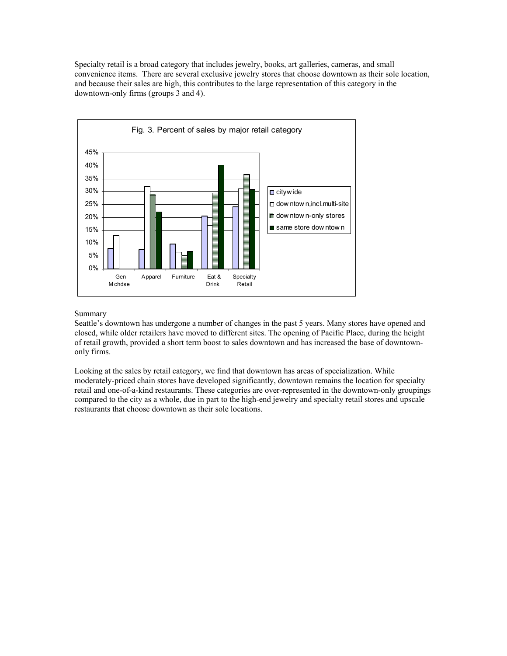Specialty retail is a broad category that includes jewelry, books, art galleries, cameras, and small convenience items. There are several exclusive jewelry stores that choose downtown as their sole location, and because their sales are high, this contributes to the large representation of this category in the downtown-only firms (groups 3 and 4).



### Summary

Seattle's downtown has undergone a number of changes in the past 5 years. Many stores have opened and closed, while older retailers have moved to different sites. The opening of Pacific Place, during the height of retail growth, provided a short term boost to sales downtown and has increased the base of downtownonly firms.

Looking at the sales by retail category, we find that downtown has areas of specialization. While moderately-priced chain stores have developed significantly, downtown remains the location for specialty retail and one-of-a-kind restaurants. These categories are over-represented in the downtown-only groupings compared to the city as a whole, due in part to the high-end jewelry and specialty retail stores and upscale restaurants that choose downtown as their sole locations.